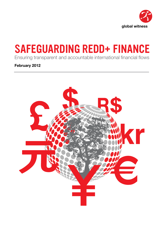

## SAFEGUARDING REDD+ FINANCE

Ensuring transparent and accountable international financial flows

#### **February 2012**

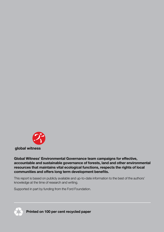

**Global Witness' Environmental Governance team campaigns for effective, accountable and sustainable governance of forests, land and other environmental resources that maintains vital ecological functions, respects the rights of local communities and offers long term development benefits.**

This report is based on publicly available and up-to-date information to the best of the authors' knowledge at the time of research and writing.

Supported in part by funding from the Ford Foundation.



**Printed on 100 per cent recycled paper**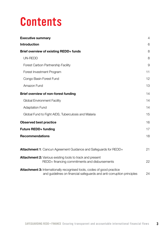## **Contents**

| <b>Executive summary</b>                                                                                                                               | $\overline{4}$ |
|--------------------------------------------------------------------------------------------------------------------------------------------------------|----------------|
| <b>Introduction</b>                                                                                                                                    | 6              |
| <b>Brief overview of existing REDD+ funds</b>                                                                                                          | 8              |
| UN-REDD                                                                                                                                                | 8              |
| Forest Carbon Partnership Facility                                                                                                                     | $\overline{9}$ |
| Forest Investment Program                                                                                                                              | 11             |
| Congo Basin Forest Fund                                                                                                                                | 12             |
| Amazon Fund                                                                                                                                            | 13             |
| <b>Brief overview of non-forest funding</b>                                                                                                            | 14             |
| <b>Global Environment Facility</b>                                                                                                                     | 14             |
| <b>Adaptation Fund</b>                                                                                                                                 | 14             |
| Global Fund to Fight AIDS, Tuberculosis and Malaria                                                                                                    | 15             |
| <b>Observed best practice</b>                                                                                                                          | 16             |
| <b>Future REDD+ funding</b>                                                                                                                            | 17             |
| <b>Recommendations</b>                                                                                                                                 | 18             |
| <b>Attachment 1:</b> Cancun Agreement Guidance and Safeguards for REDD+                                                                                | 21             |
| <b>Attachment 2:</b> Various existing tools to track and present<br>REDD+ financing commitments and disbursements                                      | 22             |
| <b>Attachment 3:</b> Internationally recognised tools, codes of good practice<br>and guidelines on financial safeguards and anti-corruption principles | 24             |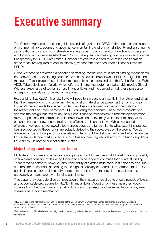## Executive summary

The Cancun Agreements include guidance and safeguards for REDD+<sup>1</sup> that focus on social and environmental risks, addressing governance, maintaining environmental integrity and ensuring the participation and upholding of stakeholders' rights particularly in relation to indigenous peoples and local communities (see Attachment 1). But safeguards addressing fiduciary risks and financial transparency for REDD+ are limited. Consequently there is a need for detailed consideration of the measures required to ensure effective, transparent and accountable financial flows for REDD+.

Global Witness has reviewed a selection of existing international multilateral funding mechanisms from developed to developing countries to assess how financial flows for REDD+ might best be managed. This included those in the forest and climate sectors and also the Global Fund to Fight AIDS, Tuberculosis and Malaria, which offers an interesting, potentially adaptable model. Global Witness' experience of working on aid financial flows and the corruption risk these pose also underpins the analysis conveyed in this paper.<sup>2</sup>

Recognising that REDD+ financial flows will need to increase significantly in the future, and given that the framework for this under an international climate change agreement remains unclear, Global Witness intends this paper to offer useful lessons learned and recommendations for the refinement and establishment of REDD+ funding mechanisms. These recommendations address the design features for any new global financing mechanism to limit misrepresentation, misappropriation and corruption of financial flows and, conversely, which features appear to enhance transparency, accountability and efficiency in financial flows. Whilst we looked at efficiency, we have not reviewed effectiveness across the funds – i.e. to what extent the projects being supported by these funds are actually delivering their objectives on the ground. We do, however, focus on how performance-related criteria could and should be locked into the financial flow system. Carbon market finance, which has not been agreed yet and which brings significant fiduciary risk, is not the subject of this briefing.

#### Major findings and recommendations are:

Multilateral funds are envisaged as playing a significant future role in REDD+ efforts and probably offer a greater chance of delivering funding to a wide range of countries than bilateral funding. There remains concern, however, about the ability of existing multilateral institutions to disburse and monitor those funds according to the highest fiduciary standards. Furthermore, the REDD+ public finance sector could usefully adopt best practice from the development aid sector, particularly on transparency of funding and finance.

This paper provides a detailed consideration of the measures required to ensure robust, efficient and accountable procedures for REDD+ financial flows. Adoption of these measures would improve both the governance of existing funds and the design and implementation of any new international funding mechanism.

<sup>1</sup> REDD+ refers to the international mechanism agreed at the December 2010 UN climate change conference in Cancun, Mexico, to reduce emissions from deforestation and forest degradation, and address the role of conservation, sustainable management of forests and enhancement of forest carbon stocks.

<sup>2</sup>For background on Global Witness' campaign work on increasing aid effectiveness, see http://www.globalwitness.org/campaigns/corruption/ effective-aid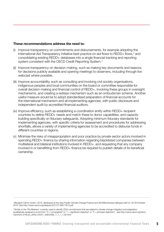#### **These recommendations address the need to:**

- (i) Improve transparency on commitments and disbursements, for example adopting the International Aid Transparency Initiative best practice on aid flows to REDD+ flows,<sup>3</sup> and consolidating existing REDD+ databases into a single financial tracking and reporting system consistent with the OECD Credit Reporting System.<sup>4</sup>
- (ii) Improve transparency on decision-making, such as making key documents and reasons for decisions publicly available and opening meetings to observers, including through live webcast where possible.
- (iii) Improve accountability, such as consulting and involving civil society organisations, indigenous peoples and local communities on the board or committee responsible for overall decision-making and financial control of REDD+, involving these groups in oversight mechanisms, and creating a redress mechanism such as an ombudsman scheme. Another useful measure would be to adopt standardised preparation of financial accounts for the international mechanism and all implementing agencies, with public disclosure and independent audit by accredited financial auditors.
- (iv) Improve efficiency, such as establishing a coordination entity within REDD+ recipient countries to define REDD+ needs and match these to donor capabilities, and capacity building specifically on fiduciary safeguards. Adopting minimum fiduciary standards for implementing agencies, with specific criteria for assessment and procedures for addressing shortfalls, allows a variety of implementing agencies to be accredited to disburse funds in different countries or regions.
- (v) Minimise the risks of misappropriation and poor practice by private sector actors involved in spending REDD+ finance by sharing information regarding blacklisted companies between multilateral and bilateral institutions involved in REDD+, and requesting that any company involved in or benefitting from REDD+ finance be required to publish details of its beneficial ownership.

<sup>3</sup> *Bangkok Call for Action*, 2010, developed at the Asia-Pacific Climate Change Finance and Aid Effectiveness dialogue held on 19–20 October 2010. See http://www.oecd.org/dataoecd/57/27/46517810.pdf

<sup>4</sup> Similar to the 'Rio Markers' currently used to identify ODA commitments that are related to climate change mitigation and adaptation (qualitatively assigned a score from "0 = not targeted" to "1 = significant objective" or "2 = principal objective") - see http://www.oecd.org/docu ment/6/0,3746,en\_2649\_34447\_43843462\_1\_1\_1\_1,00.html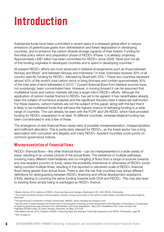### Introduction

Substantial funds have been committed in recent years in a renewed global effort to reduce emissions of greenhouse gases from deforestation and forest degradation in developing countries, and to enhance the carbon dioxide storage capacity of their forests. Funding for the initial policy reform and preparation phase of REDD+ (Phase 1) is already underway. Approximately US\$7 billion has been committed for REDD+ since 2008.<sup>5</sup> Most (but not all) of this funding originates in developed countries and is spent in developing countries.<sup>6</sup>

At present REDD+ efforts are most advanced in bilateral arrangements such as those between Norway and Brazil<sup>7</sup> and between Norway and Indonesia.<sup>8</sup> In total, Indonesia receives 30% of all country-specific funding for REDD+, followed by Brazil with 23%.<sup>9</sup> These two countries represent almost 40% of the world's total carbon stock in living biomass and contain approximately 30% of the total area of land deforested in 2010.<sup>10</sup> Current financial flows from bilateral sources have, not surprisingly, been concentrated here. However, in moving forward it can be assumed that multilateral funds and carbon markets will play a larger role in REDD+ efforts. Although the application of carbon market finance to REDD+ has yet to be agreed, it has nevertheless already been the subject of numerous analyses and the significant fiduciary risks it raises are well known. For these reasons, carbon markets are not the subject of this paper, along with the fact that it is likely to be multilateral funds that will have the highest chance of delivering funding to a wide range of countries. This can already be seen with the FCPF and UN-REDD, which have provided funding for REDD+ preparation to at least 16 different countries, whereas bilateral funding has been concentrated in only a few of these.

The emergence of new financial flows raises risks of possible misrepresentation, misappropriation and inefficient allocation. This is particularly relevant for REDD+, as the forest sector has a long association with corruption and illegality and many REDD+ recipient countries score poorly on common governance indices.

#### Misrepresentation of financial flows

REDD+ financial flows – like other financial flows – can be misrepresented in a wide variety of ways, resulting in an unclear picture of the actual flows. The existence of multiple pathways, involving many different intermediaries and co-mingling of flows from a range of sources towards any one recipient (country or fund), raises the possibility (intentional or otherwise) of REDD+ funds being counted multiple times, resulting in the reported or perceived scale of REDD+ financial flows being greater than actual flows. There is also the risk that countries may adopt different definitions for distinguishing between REDD+ financing and official development assistance (ODA), leading to counting the same funding towards both ODA and REDD+. This may also lead to existing flows simply being re-packaged as REDD+ finance.

<sup>8</sup> See the Letter of Intent between the Government of the Kingdom of Norway and the Government of the Republic of Indonesia on "Cooperation on reducing greenhouse gas emissions from deforestation and forest degradation", May 2010. Available at http://www.norway.or.id/ PageFiles/404362/Letter\_of\_Intent\_Norway\_Indonesia\_26\_May\_2010.pdf

<sup>5</sup> Markku Simula, 2010. *Analysis of REDD+ Financing Gaps and Overlaps*, Washington, DC, USA: REDD+ Partnership

<sup>&</sup>lt;sup>6</sup> The current economic climate of fiscal austerity, however, throws some doubt on the extent to which these committed funds will actually be disbursed.

<sup>7</sup>Through Norway's investment in Brazil's central bank, BNDES, which manages the Amazon Fund

<sup>9</sup>See Markku Simula, 2010, Analysis of REDD+ Financing Gaps and Overlaps, Final Draft prepared for the REDD+ Partnership, page 36 10 Ibid, at page 52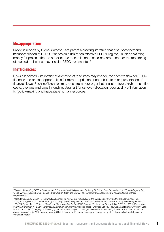#### **Misappropriation**

Previous reports by Global Witness<sup>11</sup> are part of a growing literature that discusses theft and misappropriation of REDD+ finance as a risk for an effective REDD+ regime – such as claiming money for projects that do not exist, the manipulation of baseline carbon data or the monitoring of avoided emissions to over-claim REDD+ payments.<sup>12</sup>

#### **Inefficiencies**

Risks associated with inefficient allocation of resources may impede the effective flow of REDD+ finances and present opportunities for misappropriation or contribute to misrepresentation of financial flows. Such inefficiencies may result from poor organisational structures, high transaction costs, overlaps and gaps in funding, stagnant funds, over-allocation, poor quality of information for policy-making and inadequate human resources.

<sup>11</sup> See *Understanding REDD+: Governance, Enforcement and Safeguards in Reducing Emissions from Deforestation and Forest Degradation*, Global Witness (December 2010), and *Forest Carbon, Cash and Crime: The Risk of Criminal Engagement in REDD+*, Global Witness (September 2011)

<sup>12</sup>See, for example, Tacconi, L., Downs, F. & Larmour, P., *Anti-corruption policies in the forest sector and REDD+*. In M. Brockhaus, ed., 2009, *Realising REDD+: National strategy and policy options*. Bogor Barat, Indonesia: Center for International Forestry Research (CIFOR), pp. 163–174; Brown, M.L., 2010, *Limiting Corrupt Incentives in a Global REDD Regime*. (Ecology Law Quarterly 2010, 37(1), p.237-268); Larmour, P., 2010, *Corruption in REDD+ Schemes: A Framework for Analysis*. Working paper, Crawford School, The Australian National University; Bofin, P. et al., 2011, *REDD Integrity: Addressing governance and corruption challenges in schemes for Reducing Emissions from Deforestation and Forest Degradation (REDD)*, Bergen, Norway: U4 Anti-Corruption Resource Centre; and Transparency International website at: http://www. transparency.org/.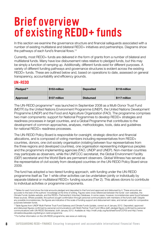### Brief overview of existing REDD+ funds

In this section we examine the governance structure and financial safeguards associated with a number of existing multilateral and bilateral REDD+ initiatives and partnerships. Diagrams show the pathways of each fund's financial flows.<sup>13</sup>

Currently, most REDD+ funds are delivered in the form of grants from a number of bilateral and multilateral funds. Many have low disbursement rates relative to pledged funds, but this may be simply a function of ramping up. Additionally, different funds exist for different purposes. A variety of different funding pathways and governance structures is evident across the existing REDD+ funds. These are outlined below and, based on operations to date, assessed on general transparency, accountability and efficiency grounds.

#### UN-REDD

| Pledged <sup>14</sup> | \$153 million | <b>Deposited</b> | $\sqrt{\$118}$ million  |
|-----------------------|---------------|------------------|-------------------------|
|                       |               |                  |                         |
| Approved              | \$137 million | <b>Disbursed</b> | $\sqrt{\$117}\$ million |

The UN-REDD programme<sup>15</sup> was launched in September 2008 as a Multi-Donor Trust Fund (MDTF) by the United Nations Environment Programme (UNEP), the United Nations Development Programme (UNDP) and the Food and Agriculture Organization (FAO). The programme comprises two main components: support for National Programmes to develop REDD+ strategies and readiness processes in target countries, and a Global Programme that contributes to the development of common approaches, analyses, methodologies, tools, data and guidelines for national REDD+ readiness processes.

The UN-REDD Policy Board is responsible for oversight, strategic direction and financial allocations, and is composed of voting members including representatives from REDD+ countries, donors, one civil society organisation (rotating between four representatives from the three regions and developed countries), one organisation representing indigenous peoples and the programme's implementing agencies (FAO, UNDP and UNEP). Non-member countries may participate as observers, while the UNFCCC secretariat, the Global Environment Facility (GEF) secretariat and the World Bank are permanent observers. Global Witness has served as the representative of civil society from developed countries on the UN-REDD Policy Board since 2009.

The fund has adopted a two-tiered funding approach, with funding under the UN-REDD programme itself as Tier 1 while other activities can be undertaken jointly or individually by separate bilateral or multilateral REDD+ funding sources (Tier 2). This allows donors to contribute to individual activities or programme components.

<sup>&</sup>lt;sup>13</sup> Tables for each fund show the total amounts pledged and deposited to that fund and approved and disbursed by it. These amounts are accurate to the best of the authors' knowledge at the time of writing. Figures were cross referenced between the funds' own websites, the Climate Funds Update website, and the REDD+ Partnership's Voluntary Database. In some cases, however, inconsistencies were found between these sources. Where possible, the authors sought confirmation through personal communications with members of the fund's staff. Despite any possible inconsistencies, the figures are indicative of the scale of funding support and disbursement rates, and remain useful for comparative purposes between funds.

<sup>14</sup>Table figures from UNDP Multi-Partner Trust Fund Gateway and Climate Funds Update, correct as of January 2012. Deposited, approved and disbursed figures confirmed by personal communications with Multi-Partner Trust Fund Office staff, pledged figure confirmed by personal communications with UN-REDD Secretariat, both January 2012. Available at: http://mdtf.undp.org/factsheet/fund/CCF00 and http://www. climatefundsupdate.org/listing/un-redd-programme

<sup>15</sup> For further information on the UN-REDD programme, see www.un-redd.org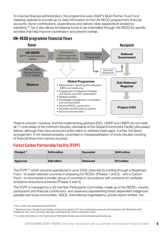To improve financial administration, the programme uses UNDP's Multi-Partner Trust Fund Gateway website to provide up-to-date information on the UN-REDD programme's financial accounts, donor contributions, expenditures and delivery rates (expenditure divided by transfers).16 Tier 2 also allows for bilateral funds to be channelled through UN-REDD for specific activities that help improve coordination and prevent overlap.



### UN-REDD programme financial flows

There is concern, however, that the implementing partners (FAO, UNDP and UNEP) do not meet all 11 core areas of the minimum fiduciary standards of the Global Environment Facility (discussed below), although they have produced action plans to address these gaps. Further, the tiered arrangement, if not tracked properly, could lead to misrepresentation of funds (double-counting of financial flows from various sources).

#### Forest Carbon Partnership Facility (FCPF)

| Pledged <sup>17</sup> | \$434 million | <b>Deposited</b> | \$430 million |
|-----------------------|---------------|------------------|---------------|
|                       |               |                  |               |
| Approved              | \$26 million  | <b>Disbursed</b> | \$12 million  |

The FCPF,<sup>18</sup> which became operational in June 2008, channels its funding through a Readiness Fund – to assist selected countries in preparing for REDD+ (Phases 1 and 2) – and a Carbon Fund – to remunerate a smaller group of countries in accordance with contracts for verifiable emissions reductions achieved (Phases 2 and 3).

The FCPF is managed by a 28-member Participants Committee, made up of the REDD+ country participants and financial contributors, and observers (representing forest-dependent indigenous peoples and local communities, NGOs, international organisations, private sector entities, the

<sup>16</sup> http://mdtf.undp.org/factsheet/fund/CCF00

<sup>&</sup>lt;sup>17</sup> Table figures from Climate Funds Update, correct as of January 2012 and confirmed by personal communications with World Bank staff. Available at: http://www.climatefundsupdate.org/listing/forest-carbon-partnership-facility

<sup>&</sup>lt;sup>18</sup> For further information on the Forest Carbon Partnership Facility, see www.forestcarbonpartnership.org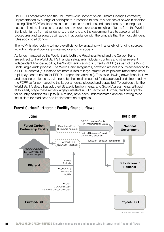UN-REDD programme and the UN Framework Convention on Climate Change Secretariat). Representation by a range of participants is intended to ensure a balance of power in decisionmaking. The FCPF seeks to main best practice procedures and standards by ensuring that in cases of joint co-financing arrangements, where there is co-mingling of funds from the World Bank with funds from other donors, the donors and the government are to agree on which procedures and safeguards will apply, in accordance with the principle that the most stringent rules apply to all donors.

The FCPF is also looking to improve efficiency by engaging with a variety of funding sources, including bilateral donors, private sector and civil society.

As funds managed by the World Bank, both the Readiness Fund and the Carbon Fund are subject to the World Bank's financial safeguards, fiduciary controls and other relevant independent financial audit by the World Bank's auditor (currently KPMG) as part of the World Bank Single Audit process. The World Bank safeguards, however, are not in our view adapted to a REDD+ context (but instead are more suited to large infrastructure projects rather than small, rapid payment transfers for REDD+ preparation activities). This risks slowing down financial flows and creating bottlenecks, evidenced by the small amount of funds approved and disbursed by the FCPF so far compared to the larger amounts pledged and deposited. To address this, the World Bank's Board has adopted Strategic Environmental and Social Assessments, although at this early stage these remain largely untested in FCPF activities. Further, readiness grants for country participants (up to \$3.6 million) have been underestimated and are proving to be insufficient for readiness and implementation purposes.



#### Forest Carbon Partnership Facility financial flows

Source: Climate Funds Update (2011)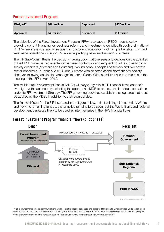#### Forest Investment Program

| Pledged <sup>19</sup> | \$611 million | <b>Deposited</b> | \$407 million       |
|-----------------------|---------------|------------------|---------------------|
|                       |               |                  |                     |
| Approved              | \$46 million  | <b>Disbursed</b> | <b>\$14 million</b> |

The objective of the Forest Investment Program  $(FIP)^{20}$  is to support REDD+ countries by providing upfront financing for readiness reforms and investments identified through their national REDD+ readiness strategy, while taking into account adaptation and multiple benefits. This fund was made operational in July 2009. An initial piloting phase involves eight countries.

The FIP Sub-Committee is the decision-making body that oversees and decides on the activities of the FIP. It has equal representation between contributor and recipient countries, plus two civil society observers (Northern and Southern), two indigenous peoples observers and two private sector observers. In January 2012 Global Witness was selected as the Northern civil society observer, following an election amongst its peers. Global Witness will first assume this role at the meeting of the FIP in April 2012.

The Multilateral Development Banks (MDBs) will play a key role in FIP financial flows and their oversight, with each country selecting the appropriate MDB to process the individual operations under its FIP Investment Strategy. The FIP governing body has established safeguards that must be applied by the MDBs in addition to their own policies.

The financial flows for the FIP, illustrated in the figure below, reflect existing pilot activities. Where and how the remaining funds are channelled remains to be seen, but the World Bank and regional development banks are likely to be used as intermediaries in the FIP's financial flows.



### Forest Investment Program financial flows (pilot phase)

<sup>19</sup> Table figures from personal communications with FIP staff (pledged, deposited and approved figures) and Climate Funds Update (disbursed), correct as of January 2012. Climate Funds Update figures available at: http://www.climatefundsupdate.org/listing/forest-investment-program <sup>20</sup> For further information on the Forest Investment Program, see www.climateinvestmentfunds.org/cif/node/5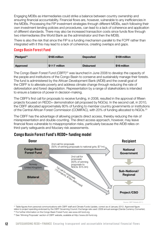Engaging MDBs as intermediaries could strike a balance between country ownership and ensuring financial accountability. Financial flows are, however, vulnerable to any inefficiencies in the MDBs. Processing the FIP investment strategies through different MDBs, each following their own investment lending policies and procedures, can lead to a lack of coherence and application of different standards. There may also be increased transaction costs since funds flow through two intermediaries (the World Bank as the administrator and then the MDB).

There is also the risk that since the FIP is a funding mechanism parallel to the FCPF rather than integrated with it this may lead to a lack of coherence, creating overlaps and gaps.

#### Congo Basin Forest Fund

| Pledged <sup>21</sup> | \$165 million          | <b>Deposited</b> | \$109 million              |
|-----------------------|------------------------|------------------|----------------------------|
|                       |                        |                  |                            |
| Approved              | $\sqrt{\$117}$ million | <b>Disbursed</b> | $\frac{1}{2}$ \$16 million |

The Congo Basin Forest Fund (CBFF)<sup>22</sup> was launched in June 2008 to develop the capacity of the people and institutions of the Congo Basin to conserve and sustainably manage their forests. The fund is administered by the African Development Bank (AfDB) and the overall goal of the CBFF is to alleviate poverty and address climate change through reducing the rate of deforestation and forest degradation. Representation by a range of stakeholders is intended to ensure a balance of power in decision-making.

The CBFF's first call for proposals to receive funding, in 2008, resulted in the approval of fifteen projects focused on REDD+ demonstration (all proposed by NGOs). In the second call, in 2010, the CBFF allocated approximately 80% of funding to member country governments or institutions of the Central African Forest Commission (COMIFAC), with 20% of funding allocated to NGOs.<sup>23</sup>

The CBFF has the advantage of allowing projects direct access, thereby reducing the risk of misrepresentation and double-counting. The direct access approach, however, may leave financial flows vulnerable to misappropriation risks, particularly because the AfDB relies on third-party safeguards and fiduciary risk assessments.

#### Congo Basin Forest Fund's REDD+ funding model



<sup>&</sup>lt;sup>21</sup> Table figures from personal communications with CBFF staff and Climate Funds Update, correct as of January 2012. Approved figure refers to project spending endorsed by the CBFF Governing Council. Exchange rate used: 2009 annual average (Oanda Currency Converter). <sup>22</sup> For further information on the Congo Basin Forest Fund, see www.cbf-fund.org

<sup>23</sup> See 'Winning Proposals' section of CBFF website, available at http://www.cbf-fund.org.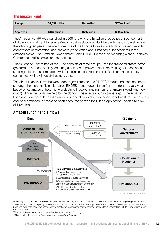#### The Amazon Fund

| Pledged $24$    | $\frac{1}{2}$ \$1,032 million | <b>Deposited</b> | $\$57$ million <sup>25</sup> |
|-----------------|-------------------------------|------------------|------------------------------|
|                 |                               |                  |                              |
| <b>Approved</b> | \$139 million                 | <b>Disbursed</b> | \$39 million                 |

The Amazon Fund<sup>26</sup> was launched in 2008 following the Brazilian president's announcement of Brazil's commitment to reduce Amazon deforestation by 80% below its historic baseline over the following ten years. The main objective of the Fund is to invest in efforts to prevent, monitor and combat deforestation, and promote preservation and sustainable use of forests in the Amazon biome. The Brazilian Development Bank (BNDES) is the fund manager, while a Technical Committee certifies emissions reductions.

The Guidance Committee of the Fund consists of three groups – the federal government, state government and civil society, ensuring a balance of power in decision-making. Civil society has a strong role on this committee, with six organisations represented. Decisions are made by consensus, with civil society having a vote.

The direct financial flows between donor governments and BNDES<sup>27</sup> reduce transaction costs, although there are inefficiencies since BNDES must request funds from the donors every year based on estimates of how many projects will receive funding from the Amazon Fund (and how much). Since the funds are held by the donors, this affects country ownership of the Amazon Fund and influences the predictability of financial flows due to year-on-year transfers. Bureaucratic and legal bottlenecks have also been encountered with the Fund's application, leading to slow disbursement.



#### Amazon Fund financial flows

<sup>24</sup> Table figures from Climate Funds Update, correct as of January 2012. Available at: http://www.climatefundsupdate.org/listing/amazon-fund <sup>25</sup> The reason for this discrepancy between the amount deposited and the amount approved is unclear, although we suspect more funds have been approved than deposited because of the grant cycle reaching the point where the Brazilian Development Bank (BNDES) is awaiting funds from the donors.

<sup>26</sup> For further information on the Amazon Fund see www.amazonfund.org

<sup>&</sup>lt;sup>27</sup> The majority of funds come from Norway, with some from Germany.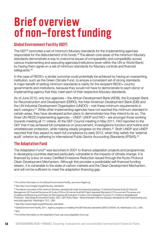### Brief overview of non-forest funding

### Global Environment Facility (GEF)

The GEF28 promotes a set of minimum fiduciary standards for the implementing agencies responsible for the disbursement of its funds.<sup>29</sup> The eleven core areas of the minimum fiduciary standards demonstrate a way to overcome issues of comparability and compatibility across various implementing and executing agencies/institutions (even within the UN or World Bank) by having them agree on a set of minimum standards for fiduciary controls and financial safeguards.<sup>30</sup>

In the case of REDD+ a similar outcome could potentially be achieved by having an overarching institution, such as the Green Climate Fund, to ensure a consistent set of strong standards. A major benefit of setting minimum standards is clarity for the recipient REDD+ country governments and institutions, because they would not have to demonstrate to each donor or implementing agency that they meet each of their respective fiduciary standards.

As of June 2010, only four agencies – the African Development Bank (AfDB), the European Bank for Reconstruction and Development (EBRD), the Inter-American Development Bank (IDB) and the UN Industrial Development Organisation (UNIDO) – met these minimum requirements in each category.31 While other implementing agencies have not reached the minimum standard in certain areas, they have developed action plans to demonstrate how they intend to do so. The three UN-REDD implementing agencies – UNEP, UNDP and FAO – are amongst those working towards meeting all 11 criteria. At the GEF Council meeting in May 2011, FAO reported to the GEF that it has achieved full compliance on procurement, investigations function and hotline and whistleblower protection, while making steady progress on the others.<sup>32</sup> Both UNDP and UNEP reported that they expect to reach full compliance by early 2012, when they satisfy the 'external audit' criterion by adhering to International Public Sector Accounting Standards (IPSAS).<sup>33</sup>

#### The Adaptation Fund

The Adaptation Fund<sup>34</sup> was launched in 2007 to finance adaptation projects and programmes in developing countries deemed particularly vulnerable to the impacts of climate change. It is financed by a levy on every Certified Emissions Reduction issued through the Kyoto Protocol Clean Development Mechanism. Although this provides a predictable self-financed funding stream, it is vulnerable to the state of carbon markets and the Clean Development Mechanism, and will not be sufficient to meet the adaptation financing gap.

<sup>28</sup> For further information on the Global Environmental Facility, see www.thegef.org

<sup>29</sup> See http://www.thegef.org/gef/fiduciary\_standards

<sup>30</sup>The eleven core areas of the minimum fiduciary standards fall under the following headings: (1) External Financial Audit (2) Financial Management (3) Financial Disclosure (4) Code of Ethics (5) Internal Audit (6) Project Appraisal Standards (7) Procurement Processes and Guidelines (8) Monitoring and Project-at-Risk Systems (9) Evaluation Function (10) Investigation Function (11) Hotline & Whistleblower Protection. See Global Environment Facility, 2007. *GEF Policy Paper - Recommended minimum fiduciary standards for GEF implementing and executing agencies*, Washington, D.C., USA

<sup>31</sup>See http://www.thegef.org/gef/fiduciary\_standards

<sup>32</sup>Global Environment Facility, 2011. *Agency progress on meeting the GEF fiduciary standards (GEF/C.40/Info.10)*, Washington, D.C., USA. 33 Ibid

<sup>&</sup>lt;sup>34</sup> For further information on the Adaptation Fund, see www.adaptation-fund.org'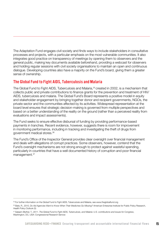The Adaptation Fund engages civil society and finds ways to include stakeholders in consultative processes and projects, with a particular emphasis on the most vulnerable communities. It also integrates good practice on transparency of meetings by opening them to observers and the general public, making key documents available beforehand, providing a webcast for observers and holding regular sessions with civil society organisations to maintain an open and continuous dialogue. Developing countries also have a majority on the Fund's board, giving them a greater sense of ownership.

#### The Global Fund to Fight AIDS, Tuberculosis and Malaria

The Global Fund to Fight AIDS, Tuberculosis and Malaria,<sup>35</sup> created in 2002, is a mechanism that collects public and private contributions to finance grants for the prevention and treatment of HIV/ AIDS, tuberculosis and malaria. The Global Fund's Board represents a positive model in equity and stakeholder engagement by bringing together donor and recipient governments, NGOs, the private sector and the communities affected by its activities. Widespread representation at the board level ensures that strategic decision-making is governed from multiple perspectives and based on a better understanding of the reality on the ground (rather than a perceived reality from evaluations and impact assessments).

The Fund seeks to ensure effective disbursal of funding by providing performance-based payments in tranches. Recent evidence, however, suggests there is room for improvement in monitoring performance, including in tracking and investigating the theft of drugs from government medical stores.<sup>36</sup>

The Fund's Office of the Inspector General provides clear oversight over financial management and deals with allegations of corrupt practices. Some observers, however, contend that the Fund's oversight mechanisms are not strong enough to protect against wasteful spending, particularly in countries that have a well documented history of corruption and poor financial management.<sup>37</sup>

<sup>35</sup> For further information on the Global Fund to Fight AIDS, Tuberculosis and Malaria, see www.theglobalfund.org

<sup>36</sup> Bate, R., 2010. *Do Aid Agencies Want to Know When Their Medicines Go Missing?* American Enterprise Institute for Public Policy Research, Health Policy Outlook (5)

<sup>37</sup> Salaam-Blyther, T., 2011. *The Global Fund to Fight AIDS, Tuberculosis, and Malaria: U.S. contributions and issues for Congress*, Washington, DC, USA: Congressional Research Service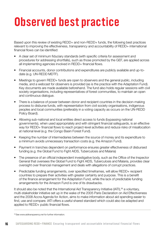# Observed best practice

Based upon this review of existing REDD+ and non-REDD+ funds, the following best practices relevant to improving the effectiveness, transparency and accountability of REDD+ international financial flows can be identified:

- A clear set of minimum fiduciary standards (with specific criteria for assessment and procedures for addressing shortfalls), such as those promoted by the GEF, are applied across all implementing agencies involved in REDD+ financial flows.
- Financial accounts, donor contributions and expenditures are publicly available and up-todate (e.g. UN-REDD MDTF).
- Meetings to govern REDD+ funds are open to observers and the general public, including media, and a webcast for observers is provided (as is the practice with the Adaptation Fund). Key documents are made available beforehand. The fund also holds regular sessions with civil society organisations, including representatives of forest communities, to maintain an open and continuous dialogue.
- There is a balance of power between donor and recipient countries in the decision-making process to disburse funds, with representation from civil society organisations, indigenous peoples and local communities (preferably in a voting capacity as occurs on the UN-REDD Policy Board).
- Allowing sub-national and local entities direct access to funds (bypassing national governments), when used appropriately and with stringent financial safeguards, is an effective way for REDD+ financial flows to reach project-level activities and reduce risks of misallocation at national level (e.g. the Congo Basin Forest Fund).
- Keeping the number of intermediaries between the source of money and its expenditure to a minimum avoids unnecessary transaction costs (e.g. the Amazon Fund).
- Payment in tranches dependent on performance ensures greater effectiveness of disbursed funding (e.g. the Global Fund to Fight AIDS, Tuberculosis and Malaria)
- The presence of an official independent investigative body, such as the Office of the Inspector General that oversees the Global Fund to Fight AIDS, Tuberculosis and Malaria, provides clear oversight over financial management and deals with allegations of corrupt practices.
- Predictable funding arrangements, over specified timeframes, will allow REDD+ recipient countries to prepare their activities with greater certainty and purpose. This is a benefit of the finance arrangement for the Adaptation Fund, while the lack of predictable funding arrangements for the Amazon Fund is one of its drawbacks.

It should also be noted that the International Aid Transparency Initiative (IATI),<sup>38</sup> a voluntary, multi-stakeholder initiative set up in the wake of the 2005 Paris Declaration on Aid Effectiveness and the 2008 Accra Agenda for Action, aims to make information about aid spending easier to find, use and compare. IATI offers a useful shared standard which could also be adapted and applied to REDD+ public financial flows.

<sup>38</sup> See www.aidtransparency.net for further information.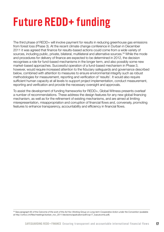# Future REDD+ funding

The third phase of REDD+ will involve payment for results in reducing greenhouse gas emissions from forest loss (Phase 3). At the recent climate change conference in Durban in December 2011 it was agreed that finance for results-based actions could come from a wide variety of sources, including public, private, bilateral, multilateral and alternative sources.<sup>39</sup> While the mode and procedures for delivery of finance are expected to be determined in 2012, the decision recognises a role for fund-based mechanisms in the longer term, and also possibly some new market-based approaches. Successful operation of a fund-based mechanism in Phase 3, however, would require increased attention to the fiduciary safeguards and governance described below, combined with attention to measures to ensure environmental integrity such as robust methodologies for measurement, reporting and verification of 'results'. It would also require sufficient human capacity at all levels to support project implementation, conduct measurement, reporting and verification and provide the necessary oversight and approvals.

To assist the development of funding frameworks for REDD+, Global Witness presents overleaf a number of recommendations. These address the design features for any new global financing mechanism, as well as for the refinement of existing mechanisms, and are aimed at limiting misrepresentation, misappropriation and corruption of financial flows and, conversely, promoting features to enhance transparency, accountability and efficiency in financial flows.

39 See paragraph 65 of the *Outcome of the work of the Ad Hoc Working Group on Long-term Cooperative Action under the Convention (available* at http://unfccc.int/files/meetings/durban\_nov\_2011/decisions/application/pdf/cop17\_lcaoutcome.pdf).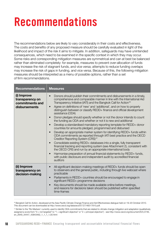## Recommendations

The recommendations below are likely to vary considerably in their costs and effectiveness. The costs and benefits of any proposed measure should be carefully evaluated in light of the likelihood and impact of the risk it aims to mitigate. In addition, safeguards may have unintended consequences, which need to be examined in the specific context in which they may occur. Some risks and corresponding mitigation measures are symmetrical and can at best be balanced rather than eliminated completely: for example, measures to prevent over-allocation of funds may increase the risk of stagnant funds, and vice versa; attempts to reduce funding overlaps may increase the risk of gaps in funding, and vice versa. Because of this, the following mitigation measures should be interpreted as a menu of possible options, rather than a set of firm recommendations.

| <b>Recommendations</b>                                             | <b>Measures</b>                                                                                                                                                                                                                                                                                                                                                                                                                                                                                                                                                                                                                                                                                                                                                                                                                                                                                                                                                                                                                                                                                                                                                                                                                                                                                                                                                       |
|--------------------------------------------------------------------|-----------------------------------------------------------------------------------------------------------------------------------------------------------------------------------------------------------------------------------------------------------------------------------------------------------------------------------------------------------------------------------------------------------------------------------------------------------------------------------------------------------------------------------------------------------------------------------------------------------------------------------------------------------------------------------------------------------------------------------------------------------------------------------------------------------------------------------------------------------------------------------------------------------------------------------------------------------------------------------------------------------------------------------------------------------------------------------------------------------------------------------------------------------------------------------------------------------------------------------------------------------------------------------------------------------------------------------------------------------------------|
| (i) Improve<br>transparency on<br>commitments and<br>disbursements | Donors should publish their commitments and disbursements in a timely,<br>$\bullet$<br>comprehensive and comparable manner in line with the International Aid<br>Transparency Initiative (IATI) and the Bangkok Call for Action <sup>40</sup><br>Agree on definitions of 'new' and 'additional', and on how to properly<br>$\bullet$<br>distinguish between or classify REDD+ finance and official development<br>assistance (ODA)<br>Donor pledges should specify whether or not the donor intends to count<br>$\bullet$<br>the funding as ODA and whether or not it is new and additional<br>Develop a standardised mandatory reporting template for REDD+ donor<br>$\bullet$<br>countries for amounts pledged, programmed and disbursed<br>Develop an appropriate marker system for identifying REDD+ funds within<br>$\bullet$<br>ODA commitments as reported through IATI best practice and the OECD<br>Creditor Reporting System (CRS) <sup>41</sup><br>Consolidate existing REDD+ databases into a single, fully transparent<br>$\bullet$<br>financial tracking and reporting system (see Attachment 2), consistent with<br>the OECD CRS and run by an appropriate international body<br>Harmonise preparation of annual financial statements by REDD+ funds,<br>$\bullet$<br>with public disclosure and independent audit by accredited financial<br>auditors |
| (ii) Improve<br>transparency on<br>decision-making                 | All significant decision-making meetings of REDD+ funds should be open<br>$\bullet$<br>to observers and the general public, including through live webcast where<br>practicable<br>Parliaments in REDD+ countries should be encouraged to engage in<br>$\bullet$<br>significant REDD+ programme decisions<br>Key documents should be made available online before meetings,<br>$\bullet$<br>and reasons for decisions taken should be published within specified<br>time-frames                                                                                                                                                                                                                                                                                                                                                                                                                                                                                                                                                                                                                                                                                                                                                                                                                                                                                       |

<sup>40</sup>*Bangkok Call for Action*, developed at the Asia-Pacific Climate Change Finance and Aid Effectiveness dialogue held on 19–20 October 2010. This document can be downloaded at http://www.oecd.org/dataoecd/57/27/46517810.pdf.

41 Similar to the 'Rio Markers' currently used to identify ODA commitments that are related to climate change mitigation and adaptation (qualitatively assigned a score from "0 = not targeted" to "1 = significant objective" or "2 = principal objective") - see http://www.oecd.org/document/6/0,3746, en\_2649\_34447\_43843462\_1\_1\_1\_1,00.html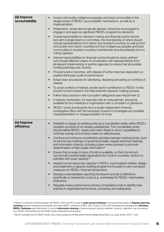| (iii) Improve<br>accountability | Involve civil society, indigenous peoples and local communities in the<br>design phase of REDD+ accountability mechanisms, as well as in<br>implementation                                                                                                                                                                                                                                                              |
|---------------------------------|-------------------------------------------------------------------------------------------------------------------------------------------------------------------------------------------------------------------------------------------------------------------------------------------------------------------------------------------------------------------------------------------------------------------------|
|                                 | Parliaments, where democratically elected, should be encouraged to<br>$\bullet$<br>engage in and approve significant REDD+ programme decisions                                                                                                                                                                                                                                                                          |
|                                 | Overall responsibility for decision-making and financial control should<br>$\bullet$<br>rest with a single board or committee, the membership of which should<br>include representatives from donor and recipient countries as well as from<br>civil society from donor countries and from indigenous peoples and local<br>communities in recipient countries (membership should preferably be in a<br>voting capacity) |
|                                 | Internal responsibilities for financial control should be clearly defined<br>$\bullet$<br>and include effective means of coordination with representatives from<br>all relevant implementing or partner agencies to ensure that all possible<br>funding pathways are covered                                                                                                                                            |
|                                 | Provide funds in tranches, with release of further tranches dependent on<br>positive third-party audit of performance                                                                                                                                                                                                                                                                                                   |
|                                 | Adopt clear procedures for identifying, declaring and acting on conflicts of<br>interest                                                                                                                                                                                                                                                                                                                                |
|                                 | To avoid conflicts of interest, private sector contributors to REDD+ funds<br>should not be involved in the disbursement decision-making process                                                                                                                                                                                                                                                                        |
|                                 | Follow best practice in anti-corruption safeguards (see Attachment 3)                                                                                                                                                                                                                                                                                                                                                   |
|                                 | A redress mechanism, for example with an ombudsman, should be<br>$\bullet$<br>available for any individual or organisation with a complaint or grievance                                                                                                                                                                                                                                                                |
|                                 | REDD+ funds should jointly fund a single independent financial<br>investigative office with the necessary powers to investigate any possible<br>misrepresentation or misappropriation of funds                                                                                                                                                                                                                          |
| (iv) Improve<br>efficiency      | Establish or assign an existing entity as a coordination entity within REDD+<br>recipient countries (if not already established). This coordination entity<br>should define REDD+ needs and match these to donor capabilities to<br>minimise overlap and achieve maximum effectiveness                                                                                                                                  |
|                                 | Continue and enhance coordination activities between existing funds, such<br>as joint annual meetings of governing bodies, regular planning meetings<br>and information sharing, including a peer review process to promote<br>dissemination of high quality information <sup>42</sup>                                                                                                                                  |
|                                 | Ensure that a range of sizes of funds is available, so that momentum<br>can be built towards larger applications for funds in countries, sectors or<br>activities with lower capacity <sup>43</sup>                                                                                                                                                                                                                     |
|                                 | Assess human resources capacity in REDD+ fund recipient entities; design<br>and implement a capacity building programme focused on anti-corruption<br>measures for REDD+ financial transactions                                                                                                                                                                                                                         |
|                                 | Develop a standardised reporting framework and set of definitions<br>$\bullet$<br>specifically on transaction costs (e.g. overheads) for REDD+ intermediary<br>institutions                                                                                                                                                                                                                                             |
|                                 | Regularly review performance across comparable funds to identify best<br>practice in organisational structure, processes and safeguards                                                                                                                                                                                                                                                                                 |
|                                 |                                                                                                                                                                                                                                                                                                                                                                                                                         |

<sup>42</sup>Recent coordination efforts between UN-REDD, FCPF and FIP include (i) **Joint annual meetings** of the governing bodies, (ii) **Regular planning meetings** between respective secretariats and other REDD+ institutions (CBFF, GEF, Amazon Fund), (iii) Populating and managing the **Voluntary REDD+ Database** (see Attachment 2); and (iv) **Information sharing** of lessons learned, training materials, contacts, calendars, key documents (e.g. REDD+ Partnership and UN-REDD online collaborative Workspace).

<sup>43</sup>See for example the EU REDD Facility, http://www.euflegt.efi.int/files/attachments/euflegt/presentation\_eu\_redd\_facility\_040711.pdf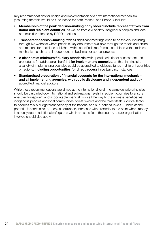Key recommendations for design and implementation of a new international mechanism (assuming that this would be fund-based for both Phase 2 and Phase 3) include:

- **Membership of the peak decision-making body should include representatives from donor and recipient countries**, as well as from civil society, indigenous peoples and local communities affected by REDD+ actions
- **Transparent decision-making**, with all significant meetings open to observers, including through live webcast where possible, key documents available through the media and online, and reasons for decisions published within specified time-frames, combined with a redress mechanism such as an independent ombudsman or appeal process
- **A clear set of minimum fiduciary standards** (with specific criteria for assessment and procedures for addressing shortfalls) **for implementing agencies**, so that, in principle, a variety of implementing agencies could be accredited to disburse funds in different countries or regions, **including opportunities for direct access** in certain circumstances
- **Standardised preparation of financial accounts for the international mechanism and all implementing agencies, with public disclosure and independent audit** by accredited financial auditors

While these recommendations are aimed at the international level, the same generic principles should be cascaded down to national and sub-national levels in recipient countries to ensure effective, transparent and accountable financial flows all the way to the ultimate beneficiaries: indigenous peoples and local communities, forest owners and the forest itself. A critical factor to address this is budget transparency at the national and sub-national levels. Further, as the potential for certain risks, such as corruption, increases with proximity to the point where money is actually spent, additional safeguards which are specific to the country and/or organisation involved should also apply.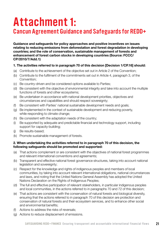## Attachment 1:

### Cancun Agreement Guidance and Safeguards for REDD+

**Guidance and safeguards for policy approaches and positive incentives on issues relating to reducing emissions from deforestation and forest degradation in developing countries; and the role of conservation, sustainable management of forests and enhancement of forest carbon stocks in developing countries (Source: FCCC/ CP/2010/7/Add.1)**

#### **1. The activities referred to in paragraph 70 of this decision [Decision 1/CP.16] should:**

- (a) Contribute to the achievement of the objective set out in Article 2 of the Convention;
- (b) Contribute to the fulfilment of the commitments set out in Article 4, paragraph 3, of the Convention;
- (c) Be country-driven and be considered options available to Parties;
- (d) Be consistent with the objective of environmental integrity and take into account the multiple functions of forests and other ecosystems;
- (e) Be undertaken in accordance with national development priorities, objectives and circumstances and capabilities and should respect sovereignty;
- (f) Be consistent with Parties' national sustainable development needs and goals;
- (g) Be implemented in the context of sustainable development and reducing poverty, while responding to climate change;
- (h) Be consistent with the adaptation needs of the country;
- (i) Be supported by adequate and predictable financial and technology support, including support for capacity-building;
- (j) Be results-based;
- (k) Promote sustainable management of forests.

#### **2. When undertaking the activities referred to in paragraph 70 of this decision, the following safeguards should be promoted and supported:**

- (a) That actions complement or are consistent with the objectives of national forest programmes and relevant international conventions and agreements;
- (b) Transparent and effective national forest governance structures, taking into account national legislation and sovereignty;
- (c) Respect for the knowledge and rights of indigenous peoples and members of local communities, by taking into account relevant international obligations, national circumstances and laws, and noting that the United Nations General Assembly has adopted the United Nations Declaration on the Rights of Indigenous Peoples;
- (d) The full and effective participation of relevant stakeholders, in particular indigenous peoples and local communities, in the actions referred to in paragraphs 70 and 72 of this decision;
- (e) That actions are consistent with the conservation of natural forests and biological diversity, ensuring that the actions referred to in paragraph 70 of this decision are protection and conservation of natural forests and their ecosystem services, and to enhance other social and environmental benefits;
- (f) Actions to address the risks of reversals;
- (g) Actions to reduce displacement of emissions.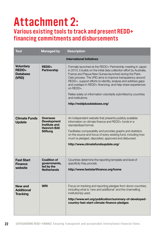# Attachment 2:

### Various existing tools to track and present REDD+ financing commitments and disbursements

| <b>Tool</b>                                            | <b>Managed by</b>                                                                                 | <b>Description</b>                                                                                                                                                                                                                                                                                                                                                                                                                                                                                                               |
|--------------------------------------------------------|---------------------------------------------------------------------------------------------------|----------------------------------------------------------------------------------------------------------------------------------------------------------------------------------------------------------------------------------------------------------------------------------------------------------------------------------------------------------------------------------------------------------------------------------------------------------------------------------------------------------------------------------|
|                                                        |                                                                                                   | <b>International Initiatives</b>                                                                                                                                                                                                                                                                                                                                                                                                                                                                                                 |
| <b>Voluntary</b><br>REDD+<br><b>Database</b><br>(VRD)  | REDD+<br>Partnership                                                                              | Formally launched at the REDD+ Partnership meeting in Japan<br>in 2010, it builds on the initial data collection effort by Australia,<br>France and Papua New Guinea launched during the Paris-<br>Oslo process. The VRD aims to improve transparency around<br>REDD+, support efforts to identify, analyse and address gaps<br>and overlaps in REDD+ financing, and help share experiences<br>on REDD+.<br>Relies solely on information voluntarily submitted by countries<br>and institutions.<br>http://reddplusdatabase.org/ |
| <b>Climate Funds</b><br><b>Update</b>                  | <b>Overseas</b><br><b>Development</b><br>Institute and<br><b>Heinrich Böll</b><br><b>Stiftung</b> | An independent website that presents publicly available<br>information on climate finance and REDD+ funds in a<br>standardised format.<br>Facilitates comparability and provides graphs and statistics<br>on the source and focus of every existing fund, including how<br>much is pledged, deposited, approved and disbursed.<br>http://www.climatefundsupdate.org/                                                                                                                                                             |
| <b>Fast Start</b><br><b>Finance</b><br>website         | <b>Coalition of</b><br>governments,<br>led by the<br><b>Netherlands</b>                           | Countries determine the reporting template and level of<br>specificity they provide.<br>http://www.faststartfinance.org/home                                                                                                                                                                                                                                                                                                                                                                                                     |
| <b>New and</b><br><b>Additional</b><br><b>Tracking</b> | <b>WRI</b>                                                                                        | Focus on tracking and reporting pledges from donor countries,<br>including what is 'new and additional' and the channelling<br>institution(s) used.<br>http://www.wri.org/publication/summary-of-developed-<br>country-fast-start-climate-finance-pledges                                                                                                                                                                                                                                                                        |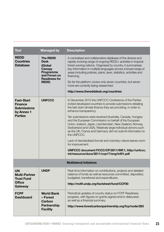| <b>Tool</b>                                                                               | <b>Managed by</b>                                                                                                       | <b>Description</b>                                                                                                                                                                                                                                                                                                                                                                                                                                                                                                                                                                                                                                                                                                                          |
|-------------------------------------------------------------------------------------------|-------------------------------------------------------------------------------------------------------------------------|---------------------------------------------------------------------------------------------------------------------------------------------------------------------------------------------------------------------------------------------------------------------------------------------------------------------------------------------------------------------------------------------------------------------------------------------------------------------------------------------------------------------------------------------------------------------------------------------------------------------------------------------------------------------------------------------------------------------------------------------|
| <b>REDD</b><br><b>Countries</b><br><b>Database</b>                                        | <b>The REDD</b><br><b>Desk</b><br>(Global<br>Canopy<br>Programme<br>and Forum on<br><b>Readiness for</b><br><b>REDD</b> | A centralised and collaborative database of the diverse and<br>rapidly evolving range of ongoing REDD+ activities in tropical<br>forest owning nations. Organised by country, it summarises<br>key information in multiple languages across a broad range of<br>areas including policies, plans, laws, statistics, activities and<br>financing.<br>So far the platform covers only seven countries, but seven<br>more are currently being researched.<br>http://www.theredddesk.org/countries                                                                                                                                                                                                                                               |
| <b>Fast-Start</b><br><b>Finance</b><br><b>Submissions</b><br>by Annex 1<br><b>Parties</b> | <b>UNFCCC</b>                                                                                                           | In December 2010 the UNFCCC Conference of the Parties<br>invited developed countries to provide submissions detailing<br>the fast-start climate finance they are providing, in order to<br>enhance transparency.<br>Ten submissions were received (Australia, Canada, Hungary<br>and the European Commission on behalf of the European<br>Union, Iceland, Japan, Liechtenstein, New Zealand, Norway,<br>Switzerland and USA). Relatively large individual donors such<br>as the UK, France and Germany did not submit information to<br>the UNFCCC.<br>Lack of standardised format and voluntary nature leaves room<br>for improvement.<br>UNFCCC document FCCC/CP/2011/INF.1, http://unfccc.<br>int/resource/docs/2011/cop17/eng/inf01.pdf |
|                                                                                           |                                                                                                                         | <b>Multilateral Initiatives</b>                                                                                                                                                                                                                                                                                                                                                                                                                                                                                                                                                                                                                                                                                                             |
| <b>UN</b><br><b>Multi-Partner</b><br><b>Trust Fund</b><br><b>Office</b><br>Gateway        | <b>UNDP</b>                                                                                                             | Real-time information on contributions, projects and detailed<br>balance of funds as well as resources committed, deposited,<br>budgeted, transferred and expenditures.<br>http://mdtf.undp.org/factsheet/fund/CCF00                                                                                                                                                                                                                                                                                                                                                                                                                                                                                                                        |
| <b>FCPF</b><br><b>Dashboard</b>                                                           | <b>World Bank</b><br>- Forest<br><b>Carbon</b><br><b>Partnership</b><br><b>Facility</b>                                 | Periodical updates of country status on FCPF Readiness<br>progress, with figures on grants signed and/or disbursed,<br>as well as a financial summary.<br>http://www.forestcarbonpartnership.org/fcp/node/283                                                                                                                                                                                                                                                                                                                                                                                                                                                                                                                               |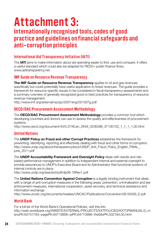# Attachment 3:

### Internationally recognised tools, codes of good practice and guidelines on financial safeguards and anti-corruption principles

### International Aid Transparency Initiative (IATI)

The **IATI** aims to make information about aid spending easier to find, use and compare. It offers a useful standard which could also be adapted for REDD+ public finance flows. www.aidtransparency.net

#### IMF Guide on Resource Revenue Transparency

**The IMF Guide on Resource Revenue Transparency** applies to oil and gas revenues specifically but could potentially have useful application to forest revenues. The guide provides a framework for resource-specific issues to be considered in fiscal transparency assessments and a summary overview of generally recognized good or best practices for transparency of resource revenue management.

http://www.imf.org/external/np/pp/2007/eng/051507g.pdf

#### OECD/DAC Procurement Assessment Methodology

The **OECD/DAC Procurement Assessment Methodology** provides a common tool which developing countries and donors can use to assess the quality and effectiveness of procurement systems.

http://www.oecd.org/document/40/0,3746,en\_2649\_3236398\_37130152\_1\_1\_1\_1,00.html

#### United Nations

The **UNDP Policy on Fraud and other Corrupt Practices** establishes the framework for preventing, identifying, reporting and effectively dealing with fraud and other forms of corruption. http://www.undp.org/about/transparencydocs/UNDP\_Anti\_Fraud\_Policy\_English\_FINAL\_ june\_2011.pdf

The **UNDP Accountability Framework and Oversight Policy** deals with results and riskbased performance management in addition to independent internal and external oversight to provide assurances to UNDP's Executive Board and its Administrator that functional systems of internal controls are in place.

http://www.undp.org/execbrd/pdf/dp08-16Rev1.pdf

The **United Nations Convention Against Corruption** is a legally binding instrument that deals with a range of anti-corruption measures in the following areas: prevention, criminalisation and law enforcement measures, international cooperation, asset recovery, and technical assistance and information exchange.

http://www.unodc.org/documents/treaties/UNCAC/Publications/Convention/08-50026\_E.pdf

### World Bank

For a full list of the World Bank's Operational Policies, visit this link: http://web.worldbank.org/WBSITE/EXTERNAL/PROJECTS/EXTPOLICIES/EXTOPMANUAL/0,,m enuPK:64701763~pagePK:64719906~piPK:64710996~theSitePK:502184,00.html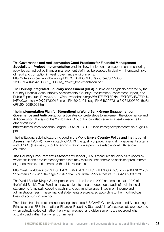The **Governance and Anti-corruption Good Practices for Financial Management Specialists – Project Implementation** explains how implementation support and monitoring activities carried out by financial management staff may be adapted to deal with increased risks of fraud and corruption in weak governance environments.

http://siteresources.worldbank.org/EXTGOVANTICORR/Resources/3035863- 1285875404494/100601\_OPCFM\_Project\_Implementation.pdf

The **Country Integrated Fiduciary Assessment (CIFA)** reviews areas typically covered by the Country Financial Accountability Assessments, Country Procurement Assessment Report, and Public Expenditure Reviews. http://web.worldbank.org/WBSITE/EXTERNAL/EXTOED/EXTFIDUC IARY/0,,contentMDK:21782915~menuPK:5042104~pagePK:64829573~piPK:64829550~theSit ePK:5042089,00.html

The **Implementation Plan for Strengthening World Bank Group Engagement on Governance and Anticorruption** articulates concrete steps to implement the Governance and Anticorruption Strategy of the World Bank Group, but can also serve as a useful resource for other institutions.

http://siteresources.worldbank.org/INTGOVANTICORR/Resources/gacimplementation-aug2007. pdf

The institutional sub-indicators included in the World Bank's **Country Policy and Institutional Assessment** (CPIA) index - notably CPIA 13 (the quality of public financial management systems) and CPIA15 (the quality of public administration) - are publicly available for all IDA recipient countries.

**The Country Procurement Assessment Report** (CPAR) measures fiduciary risks posed by weakness in the procurement systems that may result in uneconomic or inefficient procurement of goods, works, and services with public resources.

http://web.worldbank.org/WBSITE/EXTERNAL/EXTOED/EXTFIDUCIARY/0,,contentMDK:21782 915~menuPK:5042104~pagePK:64829573~piPK:64829550~theSitePK:5042089,00.html

The World Bank's **Single Audit** process came into force in 2009 and means that 100% of the World Bank's Trust Funds are now subject to annual independent audit of their financial statements (principally covering cash in and out, fund balance, investment income and administration fees). These financial statements are prepared according to the 'modified cash basis of accounting' method.

This differs from international accounting standards (US GAAP, Generally Accepted Accounting Principles and IFRS, International Financial Reporting Standards) insofar as receipts are recorded when actually collected (rather than when pledged) and disbursements are recorded when actually paid (rather than when committed).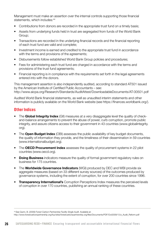Management must make an assertion over the internal controls supporting those financial statements, which includes: 44

- Contributions from donors are recorded in the appropriate trust fund on a timely basis;
- Assets from underlying funds held in trust are segregated from funds of the World Bank Group;
- Transactions are recorded in the underlying financial records and the financial reporting of each trust fund are valid and complete;
- Investment income is earned and credited to the appropriate trust fund in accordance with the terms and provisions of the agreements;
- Disbursements follow established World Bank Group policies and procedures;
- Fees for administering each trust fund are charged in accordance with the terms and provisions of the trust fund agreements;
- Financial reporting is in compliance with the requirements set forth in the legal agreements entered into with the donors.

This management assertion is also independently audited, according to standard AT501 issued by the American Institute of Certified Public Accountants – see: http://www.aicpa.org/Research/Standards/AuditAttest/DownloadableDocuments/AT-00501.pdf

Audited World Bank financial statements, as well as unaudited interim statements and other information is publicly available on the World Bank website (see https://finances.worldbank.org/).

#### Other Indices

- The **Global Integrity Index** (GII) measures at a very disaggregate level the quality of checkand-balance arrangements to prevent the abuse of power, curb corruption, promote public integrity, and assure citizens access to their government in 43 countries (www.globalintegrity. org).
- The **Open Budget Index** (OBI) assesses the public availability of key budget documents, the quality of information they provide, and the timeliness of their dissemination in 59 countries (www.internationalbudget.org).
- The **OECD Procurement Index** assesses the quality of procurement systems in 22 pilot countries (www.oecd.org).
- **Doing Business** indicators measure the quality of formal government regulatory rules on business for 175 countries.
- The **Worldwide Governance Indicators** (WGI) produced by DEC and WBI provide six aggregate measures (based on 33 different survey sources) of the outcomes produced by governance systems, including the extent of corruption, for over 200 countries since 1996.
- **Transparency International's** Corruption Perceptions Index measures the perceived levels of corruption in over 170 countries, publishing an annual ranking of these countries.

<sup>44</sup>See Quinn, B. (2009) *Forest Carbon Partnership Facility Single Audit*. Available at:

http://www.forestcarbonpartnership.org/fcp/sites/forestcarbonpartnership.org/files/Documents/PDF/Oct2009/13.b\_Audit\_Reform.pdf